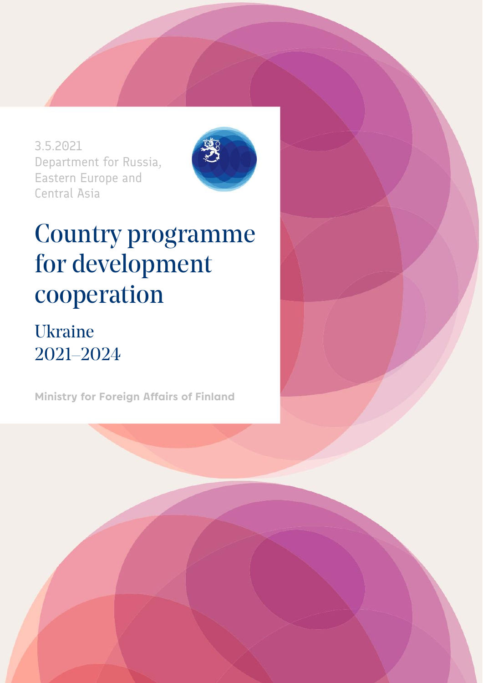3.5.2021 Department for Russia, Eastern Europe and Central Asia



# Country programme for development cooperation

## Ukraine 2021–2024

**Ministry for Foreign Affairs of Finland**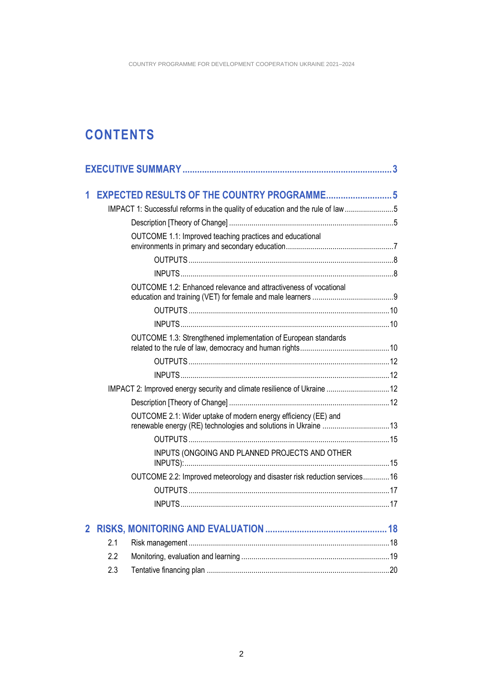### **CONTENTS**

| 1              |                                                                          |                                                                               |  |
|----------------|--------------------------------------------------------------------------|-------------------------------------------------------------------------------|--|
|                |                                                                          | IMPACT 1: Successful reforms in the quality of education and the rule of law5 |  |
|                |                                                                          |                                                                               |  |
|                |                                                                          | OUTCOME 1.1: Improved teaching practices and educational                      |  |
|                |                                                                          |                                                                               |  |
|                |                                                                          |                                                                               |  |
|                |                                                                          |                                                                               |  |
|                |                                                                          | OUTCOME 1.2: Enhanced relevance and attractiveness of vocational              |  |
|                |                                                                          |                                                                               |  |
|                |                                                                          |                                                                               |  |
|                |                                                                          | OUTCOME 1.3: Strengthened implementation of European standards                |  |
|                |                                                                          |                                                                               |  |
|                |                                                                          |                                                                               |  |
|                | IMPACT 2: Improved energy security and climate resilience of Ukraine  12 |                                                                               |  |
|                |                                                                          |                                                                               |  |
|                |                                                                          | OUTCOME 2.1: Wider uptake of modern energy efficiency (EE) and                |  |
|                |                                                                          |                                                                               |  |
|                |                                                                          | INPUTS (ONGOING AND PLANNED PROJECTS AND OTHER                                |  |
|                |                                                                          | OUTCOME 2.2: Improved meteorology and disaster risk reduction services16      |  |
|                |                                                                          |                                                                               |  |
|                |                                                                          |                                                                               |  |
|                |                                                                          |                                                                               |  |
| $\overline{2}$ |                                                                          |                                                                               |  |
|                | 2.1                                                                      |                                                                               |  |
|                | 2.2                                                                      |                                                                               |  |
|                | 2.3                                                                      |                                                                               |  |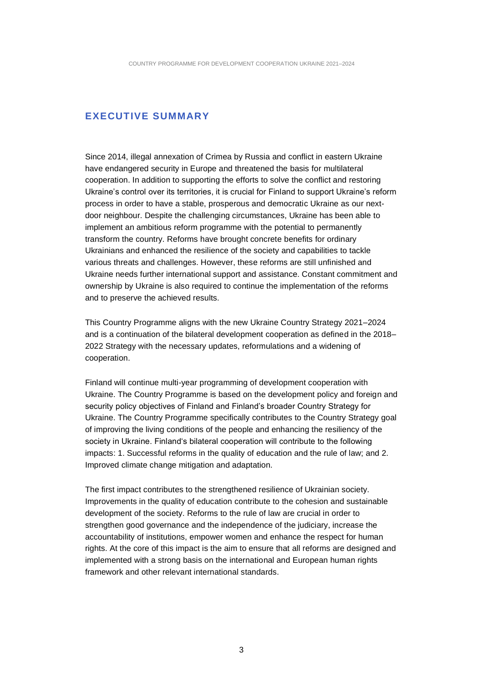#### <span id="page-2-0"></span>**EXECUTIVE SUMMARY**

Since 2014, illegal annexation of Crimea by Russia and conflict in eastern Ukraine have endangered security in Europe and threatened the basis for multilateral cooperation. In addition to supporting the efforts to solve the conflict and restoring Ukraine's control over its territories, it is crucial for Finland to support Ukraine's reform process in order to have a stable, prosperous and democratic Ukraine as our nextdoor neighbour. Despite the challenging circumstances, Ukraine has been able to implement an ambitious reform programme with the potential to permanently transform the country. Reforms have brought concrete benefits for ordinary Ukrainians and enhanced the resilience of the society and capabilities to tackle various threats and challenges. However, these reforms are still unfinished and Ukraine needs further international support and assistance. Constant commitment and ownership by Ukraine is also required to continue the implementation of the reforms and to preserve the achieved results.

This Country Programme aligns with the new Ukraine Country Strategy 2021–2024 and is a continuation of the bilateral development cooperation as defined in the 2018– 2022 Strategy with the necessary updates, reformulations and a widening of cooperation.

Finland will continue multi-year programming of development cooperation with Ukraine. The Country Programme is based on the development policy and foreign and security policy objectives of Finland and Finland's broader Country Strategy for Ukraine. The Country Programme specifically contributes to the Country Strategy goal of improving the living conditions of the people and enhancing the resiliency of the society in Ukraine. Finland's bilateral cooperation will contribute to the following impacts: 1. Successful reforms in the quality of education and the rule of law; and 2. Improved climate change mitigation and adaptation.

The first impact contributes to the strengthened resilience of Ukrainian society. Improvements in the quality of education contribute to the cohesion and sustainable development of the society. Reforms to the rule of law are crucial in order to strengthen good governance and the independence of the judiciary, increase the accountability of institutions, empower women and enhance the respect for human rights. At the core of this impact is the aim to ensure that all reforms are designed and implemented with a strong basis on the international and European human rights framework and other relevant international standards.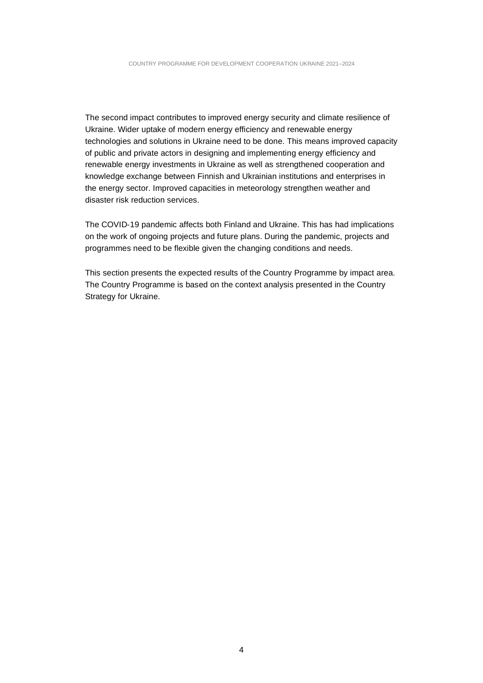The second impact contributes to improved energy security and climate resilience of Ukraine. Wider uptake of modern energy efficiency and renewable energy technologies and solutions in Ukraine need to be done. This means improved capacity of public and private actors in designing and implementing energy efficiency and renewable energy investments in Ukraine as well as strengthened cooperation and knowledge exchange between Finnish and Ukrainian institutions and enterprises in the energy sector. Improved capacities in meteorology strengthen weather and disaster risk reduction services.

The COVID‐19 pandemic affects both Finland and Ukraine. This has had implications on the work of ongoing projects and future plans. During the pandemic, projects and programmes need to be flexible given the changing conditions and needs.

This section presents the expected results of the Country Programme by impact area. The Country Programme is based on the context analysis presented in the Country Strategy for Ukraine.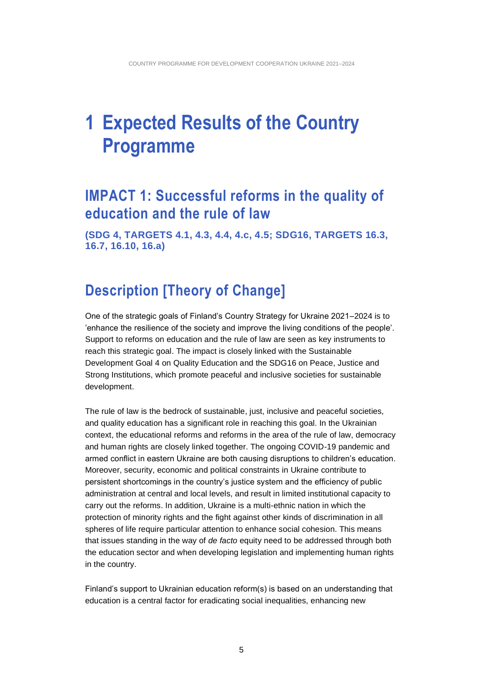## <span id="page-4-0"></span>**1 Expected Results of the Country Programme**

### <span id="page-4-1"></span>**IMPACT 1: Successful reforms in the quality of education and the rule of law**

<span id="page-4-2"></span>**(SDG 4, TARGETS 4.1, 4.3, 4.4, 4.c, 4.5; SDG16, TARGETS 16.3, 16.7, 16.10, 16.a)**

### **Description [Theory of Change]**

One of the strategic goals of Finland's Country Strategy for Ukraine 2021–2024 is to 'enhance the resilience of the society and improve the living conditions of the people'. Support to reforms on education and the rule of law are seen as key instruments to reach this strategic goal. The impact is closely linked with the Sustainable Development Goal 4 on Quality Education and the SDG16 on Peace, Justice and Strong Institutions, which promote peaceful and inclusive societies for sustainable development.

The rule of law is the bedrock of sustainable, just, inclusive and peaceful societies, and quality education has a significant role in reaching this goal. In the Ukrainian context, the educational reforms and reforms in the area of the rule of law, democracy and human rights are closely linked together. The ongoing COVID-19 pandemic and armed conflict in eastern Ukraine are both causing disruptions to children's education. Moreover, security, economic and political constraints in Ukraine contribute to persistent shortcomings in the country's justice system and the efficiency of public administration at central and local levels, and result in limited institutional capacity to carry out the reforms. In addition, Ukraine is a multi-ethnic nation in which the protection of minority rights and the fight against other kinds of discrimination in all spheres of life require particular attention to enhance social cohesion. This means that issues standing in the way of *de facto* equity need to be addressed through both the education sector and when developing legislation and implementing human rights in the country.

Finland's support to Ukrainian education reform(s) is based on an understanding that education is a central factor for eradicating social inequalities, enhancing new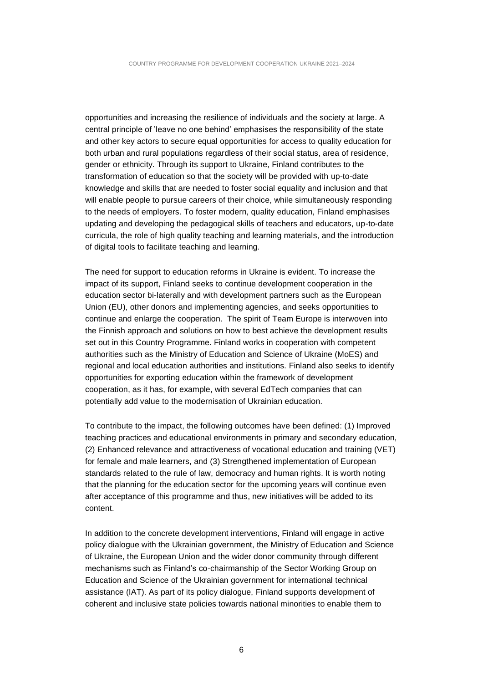opportunities and increasing the resilience of individuals and the society at large. A central principle of 'leave no one behind' emphasises the responsibility of the state and other key actors to secure equal opportunities for access to quality education for both urban and rural populations regardless of their social status, area of residence, gender or ethnicity. Through its support to Ukraine, Finland contributes to the transformation of education so that the society will be provided with up-to-date knowledge and skills that are needed to foster social equality and inclusion and that will enable people to pursue careers of their choice, while simultaneously responding to the needs of employers. To foster modern, quality education, Finland emphasises updating and developing the pedagogical skills of teachers and educators, up-to-date curricula, the role of high quality teaching and learning materials, and the introduction of digital tools to facilitate teaching and learning.

The need for support to education reforms in Ukraine is evident. To increase the impact of its support, Finland seeks to continue development cooperation in the education sector bi-laterally and with development partners such as the European Union (EU), other donors and implementing agencies, and seeks opportunities to continue and enlarge the cooperation. The spirit of Team Europe is interwoven into the Finnish approach and solutions on how to best achieve the development results set out in this Country Programme. Finland works in cooperation with competent authorities such as the Ministry of Education and Science of Ukraine (MoES) and regional and local education authorities and institutions. Finland also seeks to identify opportunities for exporting education within the framework of development cooperation, as it has, for example, with several EdTech companies that can potentially add value to the modernisation of Ukrainian education.

To contribute to the impact, the following outcomes have been defined: (1) Improved teaching practices and educational environments in primary and secondary education, (2) Enhanced relevance and attractiveness of vocational education and training (VET) for female and male learners, and (3) Strengthened implementation of European standards related to the rule of law, democracy and human rights. It is worth noting that the planning for the education sector for the upcoming years will continue even after acceptance of this programme and thus, new initiatives will be added to its content.

In addition to the concrete development interventions, Finland will engage in active policy dialogue with the Ukrainian government, the Ministry of Education and Science of Ukraine, the European Union and the wider donor community through different mechanisms such as Finland's co-chairmanship of the Sector Working Group on Education and Science of the Ukrainian government for international technical assistance (IAT). As part of its policy dialogue, Finland supports development of coherent and inclusive state policies towards national minorities to enable them to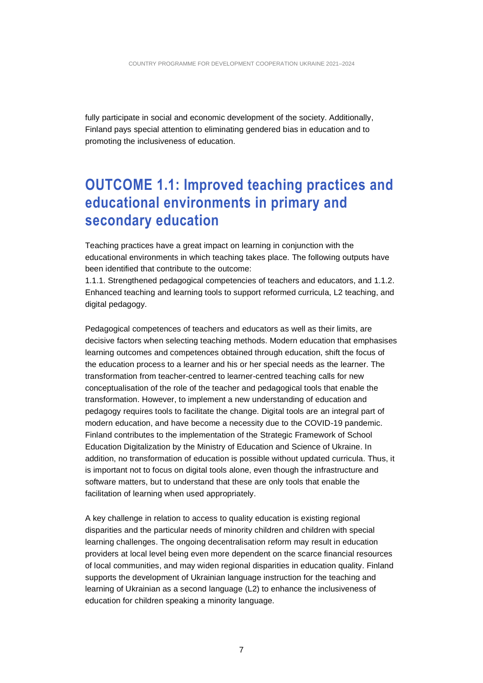fully participate in social and economic development of the society. Additionally, Finland pays special attention to eliminating gendered bias in education and to promoting the inclusiveness of education.

### <span id="page-6-0"></span>**OUTCOME 1.1: Improved teaching practices and educational environments in primary and secondary education**

Teaching practices have a great impact on learning in conjunction with the educational environments in which teaching takes place. The following outputs have been identified that contribute to the outcome:

1.1.1. Strengthened pedagogical competencies of teachers and educators, and 1.1.2. Enhanced teaching and learning tools to support reformed curricula, L2 teaching, and digital pedagogy.

Pedagogical competences of teachers and educators as well as their limits, are decisive factors when selecting teaching methods. Modern education that emphasises learning outcomes and competences obtained through education, shift the focus of the education process to a learner and his or her special needs as the learner. The transformation from teacher-centred to learner-centred teaching calls for new conceptualisation of the role of the teacher and pedagogical tools that enable the transformation. However, to implement a new understanding of education and pedagogy requires tools to facilitate the change. Digital tools are an integral part of modern education, and have become a necessity due to the COVID-19 pandemic. Finland contributes to the implementation of the Strategic Framework of School Education Digitalization by the Ministry of Education and Science of Ukraine. In addition, no transformation of education is possible without updated curricula. Thus, it is important not to focus on digital tools alone, even though the infrastructure and software matters, but to understand that these are only tools that enable the facilitation of learning when used appropriately.

A key challenge in relation to access to quality education is existing regional disparities and the particular needs of minority children and children with special learning challenges. The ongoing decentralisation reform may result in education providers at local level being even more dependent on the scarce financial resources of local communities, and may widen regional disparities in education quality. Finland supports the development of Ukrainian language instruction for the teaching and learning of Ukrainian as a second language (L2) to enhance the inclusiveness of education for children speaking a minority language.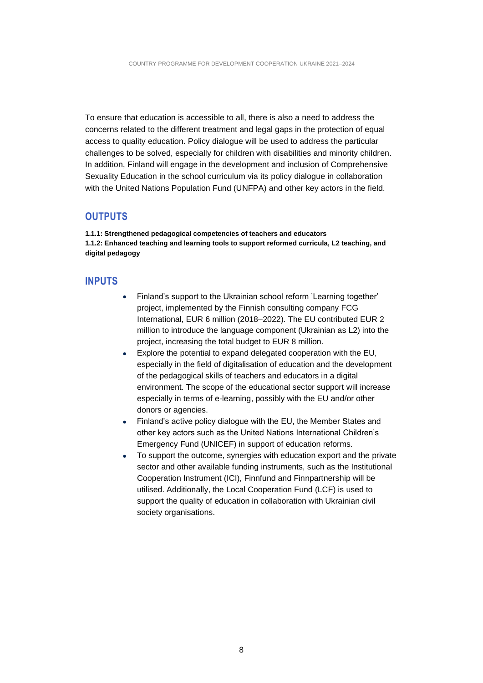To ensure that education is accessible to all, there is also a need to address the concerns related to the different treatment and legal gaps in the protection of equal access to quality education. Policy dialogue will be used to address the particular challenges to be solved, especially for children with disabilities and minority children. In addition, Finland will engage in the development and inclusion of Comprehensive Sexuality Education in the school curriculum via its policy dialogue in collaboration with the United Nations Population Fund (UNFPA) and other key actors in the field.

#### <span id="page-7-0"></span>**OUTPUTS**

**1.1.1: Strengthened pedagogical competencies of teachers and educators 1.1.2: Enhanced teaching and learning tools to support reformed curricula, L2 teaching, and digital pedagogy**

#### <span id="page-7-1"></span>**INPUTS**

- Finland's support to the Ukrainian school reform 'Learning together' project, implemented by the Finnish consulting company FCG International, EUR 6 million (2018–2022). The EU contributed EUR 2 million to introduce the language component (Ukrainian as L2) into the project, increasing the total budget to EUR 8 million.
- Explore the potential to expand delegated cooperation with the EU, especially in the field of digitalisation of education and the development of the pedagogical skills of teachers and educators in a digital environment. The scope of the educational sector support will increase especially in terms of e-learning, possibly with the EU and/or other donors or agencies.
- Finland's active policy dialogue with the EU, the Member States and other key actors such as the United Nations International Children's Emergency Fund (UNICEF) in support of education reforms.
- To support the outcome, synergies with education export and the private sector and other available funding instruments, such as the Institutional Cooperation Instrument (ICI), Finnfund and Finnpartnership will be utilised. Additionally, the Local Cooperation Fund (LCF) is used to support the quality of education in collaboration with Ukrainian civil society organisations.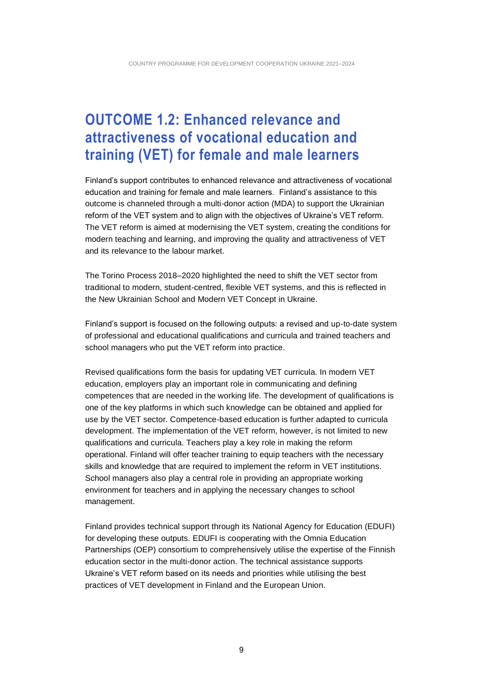### <span id="page-8-0"></span>**OUTCOME 1.2: Enhanced relevance and attractiveness of vocational education and training (VET) for female and male learners**

Finland's support contributes to enhanced relevance and attractiveness of vocational education and training for female and male learners. Finland's assistance to this outcome is channeled through a multi-donor action (MDA) to support the Ukrainian reform of the VET system and to align with the objectives of Ukraine's VET reform. The VET reform is aimed at modernising the VET system, creating the conditions for modern teaching and learning, and improving the quality and attractiveness of VET and its relevance to the labour market.

The Torino Process 2018–2020 highlighted the need to shift the VET sector from traditional to modern, student-centred, flexible VET systems, and this is reflected in the New Ukrainian School and Modern VET Concept in Ukraine.

Finland's support is focused on the following outputs: a revised and up-to-date system of professional and educational qualifications and curricula and trained teachers and school managers who put the VET reform into practice.

Revised qualifications form the basis for updating VET curricula. In modern VET education, employers play an important role in communicating and defining competences that are needed in the working life. The development of qualifications is one of the key platforms in which such knowledge can be obtained and applied for use by the VET sector. Competence-based education is further adapted to curricula development. The implementation of the VET reform, however, is not limited to new qualifications and curricula. Teachers play a key role in making the reform operational. Finland will offer teacher training to equip teachers with the necessary skills and knowledge that are required to implement the reform in VET institutions. School managers also play a central role in providing an appropriate working environment for teachers and in applying the necessary changes to school management.

Finland provides technical support through its National Agency for Education (EDUFI) for developing these outputs. EDUFI is cooperating with the Omnia Education Partnerships (OEP) consortium to comprehensively utilise the expertise of the Finnish education sector in the multi-donor action. The technical assistance supports Ukraine's VET reform based on its needs and priorities while utilising the best practices of VET development in Finland and the European Union.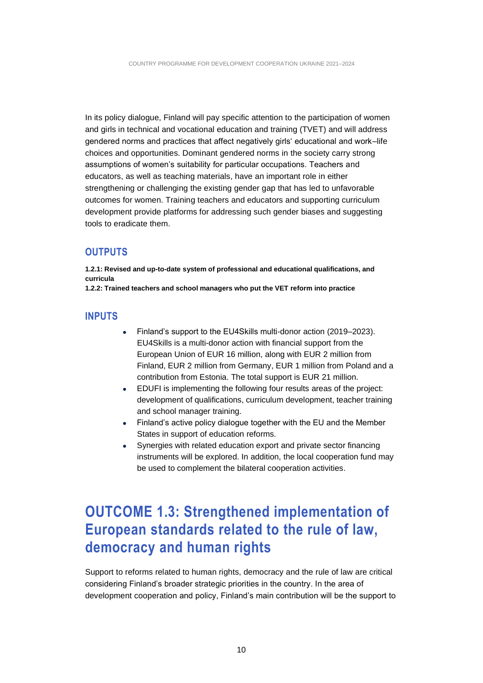In its policy dialogue, Finland will pay specific attention to the participation of women and girls in technical and vocational education and training (TVET) and will address gendered norms and practices that affect negatively girls' educational and work–life choices and opportunities. Dominant gendered norms in the society carry strong assumptions of women's suitability for particular occupations. Teachers and educators, as well as teaching materials, have an important role in either strengthening or challenging the existing gender gap that has led to unfavorable outcomes for women. Training teachers and educators and supporting curriculum development provide platforms for addressing such gender biases and suggesting tools to eradicate them.

#### <span id="page-9-0"></span>**OUTPUTS**

**1.2.1: Revised and up-to-date system of professional and educational qualifications, and curricula**

<span id="page-9-1"></span>**1.2.2: Trained teachers and school managers who put the VET reform into practice**

#### **INPUTS**

- Finland's support to the EU4Skills multi-donor action (2019–2023). EU4Skills is a multi-donor action with financial support from the European Union of EUR 16 million, along with EUR 2 million from Finland, EUR 2 million from Germany, EUR 1 million from Poland and a contribution from Estonia. The total support is EUR 21 million.
- EDUFI is implementing the following four results areas of the project: development of qualifications, curriculum development, teacher training and school manager training.
- Finland's active policy dialogue together with the EU and the Member States in support of education reforms.
- Synergies with related education export and private sector financing instruments will be explored. In addition, the local cooperation fund may be used to complement the bilateral cooperation activities.

### <span id="page-9-2"></span>**OUTCOME 1.3: Strengthened implementation of European standards related to the rule of law, democracy and human rights**

Support to reforms related to human rights, democracy and the rule of law are critical considering Finland's broader strategic priorities in the country. In the area of development cooperation and policy, Finland's main contribution will be the support to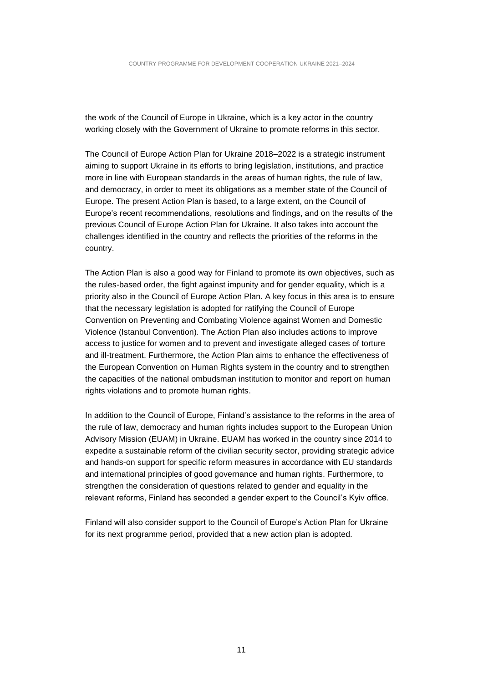the work of the Council of Europe in Ukraine, which is a key actor in the country working closely with the Government of Ukraine to promote reforms in this sector.

The Council of Europe Action Plan for Ukraine 2018–2022 is a strategic instrument aiming to support Ukraine in its efforts to bring legislation, institutions, and practice more in line with European standards in the areas of human rights, the rule of law, and democracy, in order to meet its obligations as a member state of the Council of Europe. The present Action Plan is based, to a large extent, on the Council of Europe's recent recommendations, resolutions and findings, and on the results of the previous Council of Europe Action Plan for Ukraine. It also takes into account the challenges identified in the country and reflects the priorities of the reforms in the country.

The Action Plan is also a good way for Finland to promote its own objectives, such as the rules-based order, the fight against impunity and for gender equality, which is a priority also in the Council of Europe Action Plan. A key focus in this area is to ensure that the necessary legislation is adopted for ratifying the Council of Europe Convention on Preventing and Combating Violence against Women and Domestic Violence (Istanbul Convention). The Action Plan also includes actions to improve access to justice for women and to prevent and investigate alleged cases of torture and ill-treatment. Furthermore, the Action Plan aims to enhance the effectiveness of the European Convention on Human Rights system in the country and to strengthen the capacities of the national ombudsman institution to monitor and report on human rights violations and to promote human rights.

In addition to the Council of Europe, Finland's assistance to the reforms in the area of the rule of law, democracy and human rights includes support to the European Union Advisory Mission (EUAM) in Ukraine. EUAM has worked in the country since 2014 to expedite a sustainable reform of the civilian security sector, providing strategic advice and hands-on support for specific reform measures in accordance with EU standards and international principles of good governance and human rights. Furthermore, to strengthen the consideration of questions related to gender and equality in the relevant reforms, Finland has seconded a gender expert to the Council's Kyiv office.

Finland will also consider support to the Council of Europe's Action Plan for Ukraine for its next programme period, provided that a new action plan is adopted.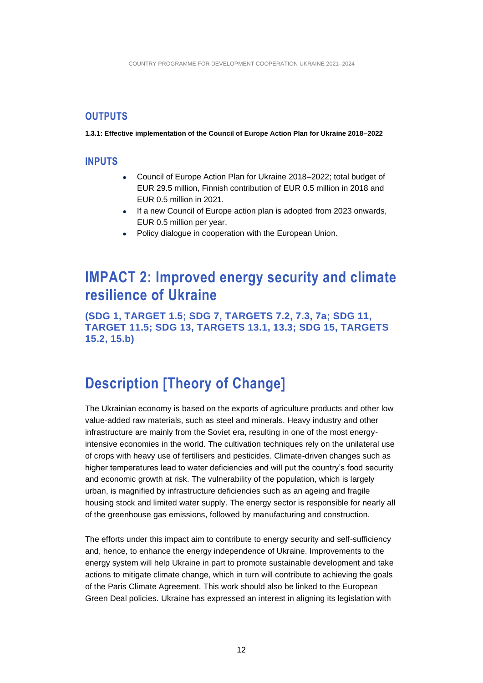#### <span id="page-11-0"></span>**OUTPUTS**

<span id="page-11-1"></span>**1.3.1: Effective implementation of the Council of Europe Action Plan for Ukraine 2018–2022**

#### **INPUTS**

- Council of Europe Action Plan for Ukraine 2018–2022; total budget of EUR 29.5 million, Finnish contribution of EUR 0.5 million in 2018 and EUR 0.5 million in 2021.
- If a new Council of Europe action plan is adopted from 2023 onwards, EUR 0.5 million per year.
- Policy dialogue in cooperation with the European Union.

### <span id="page-11-2"></span>**IMPACT 2: Improved energy security and climate resilience of Ukraine**

**(SDG 1, TARGET 1.5; SDG 7, TARGETS 7.2, 7.3, 7a; SDG 11, TARGET 11.5; SDG 13, TARGETS 13.1, 13.3; SDG 15, TARGETS 15.2, 15.b)**

### <span id="page-11-3"></span>**Description [Theory of Change]**

The Ukrainian economy is based on the exports of agriculture products and other low value-added raw materials, such as steel and minerals. Heavy industry and other infrastructure are mainly from the Soviet era, resulting in one of the most energyintensive economies in the world. The cultivation techniques rely on the unilateral use of crops with heavy use of fertilisers and pesticides. Climate-driven changes such as higher temperatures lead to water deficiencies and will put the country's food security and economic growth at risk. The vulnerability of the population, which is largely urban, is magnified by infrastructure deficiencies such as an ageing and fragile housing stock and limited water supply. The energy sector is responsible for nearly all of the greenhouse gas emissions, followed by manufacturing and construction.

The efforts under this impact aim to contribute to energy security and self-sufficiency and, hence, to enhance the energy independence of Ukraine. Improvements to the energy system will help Ukraine in part to promote sustainable development and take actions to mitigate climate change, which in turn will contribute to achieving the goals of the Paris Climate Agreement. This work should also be linked to the European Green Deal policies. Ukraine has expressed an interest in aligning its legislation with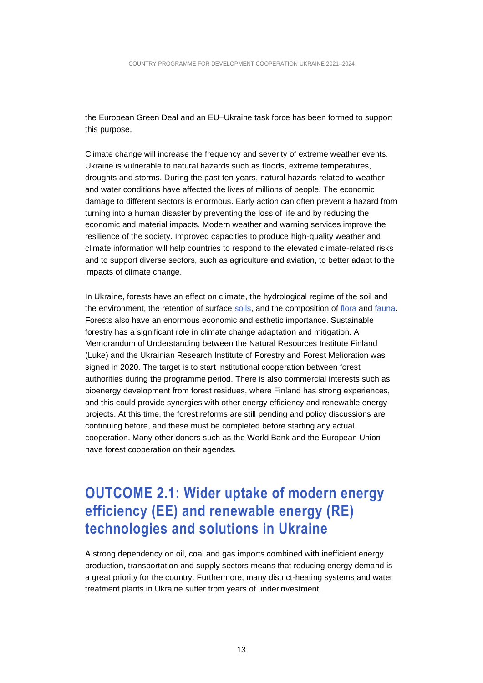the European Green Deal and an EU–Ukraine task force has been formed to support this purpose.

Climate change will increase the frequency and severity of extreme weather events. Ukraine is vulnerable to natural hazards such as floods, extreme temperatures, droughts and storms. During the past ten years, natural hazards related to weather and water conditions have affected the lives of millions of people. The economic damage to different sectors is enormous. Early action can often prevent a hazard from turning into a human disaster by preventing the loss of life and by reducing the economic and material impacts. Modern weather and warning services improve the resilience of the society. Improved capacities to produce high-quality weather and climate information will help countries to respond to the elevated climate-related risks and to support diverse sectors, such as agriculture and aviation, to better adapt to the impacts of climate change.

In Ukraine, forests have an effect on climate, the hydrological regime of the soil and the environment, the retention of surface [soils,](http://www.encyclopediaofukraine.com/display.asp?linkpath=pages%5CS%5CO%5CSoils.htm) and the composition of [flora](http://www.encyclopediaofukraine.com/display.asp?linkpath=pages%5CF%5CL%5CFlora.htm) and [fauna.](http://www.encyclopediaofukraine.com/display.asp?linkpath=pages%5CF%5CA%5CFauna.htm) Forests also have an enormous economic and esthetic importance. Sustainable forestry has a significant role in climate change adaptation and mitigation. A Memorandum of Understanding between the Natural Resources Institute Finland (Luke) and the Ukrainian Research Institute of Forestry and Forest Melioration was signed in 2020. The target is to start institutional cooperation between forest authorities during the programme period. There is also commercial interests such as bioenergy development from forest residues, where Finland has strong experiences, and this could provide synergies with other energy efficiency and renewable energy projects. At this time, the forest reforms are still pending and policy discussions are continuing before, and these must be completed before starting any actual cooperation. Many other donors such as the World Bank and the European Union have forest cooperation on their agendas.

### <span id="page-12-0"></span>**OUTCOME 2.1: Wider uptake of modern energy efficiency (EE) and renewable energy (RE) technologies and solutions in Ukraine**

A strong dependency on oil, coal and gas imports combined with inefficient energy production, transportation and supply sectors means that reducing energy demand is a great priority for the country. Furthermore, many district-heating systems and water treatment plants in Ukraine suffer from years of underinvestment.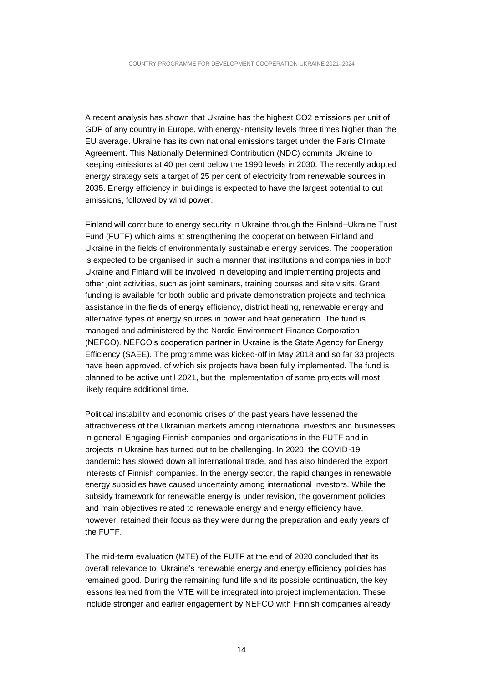A recent analysis has shown that Ukraine has the highest CO2 emissions per unit of GDP of any country in Europe, with energy-intensity levels three times higher than the EU average. Ukraine has its own national emissions target under the Paris Climate Agreement. This Nationally Determined Contribution (NDC) commits Ukraine to keeping emissions at 40 per cent below the 1990 levels in 2030. The recently adopted energy strategy sets a target of 25 per cent of electricity from renewable sources in 2035. Energy efficiency in buildings is expected to have the largest potential to cut emissions, followed by wind power.

Finland will contribute to energy security in Ukraine through the Finland–Ukraine Trust Fund (FUTF) which aims at strengthening the cooperation between Finland and Ukraine in the fields of environmentally sustainable energy services. The cooperation is expected to be organised in such a manner that institutions and companies in both Ukraine and Finland will be involved in developing and implementing projects and other joint activities, such as joint seminars, training courses and site visits. Grant funding is available for both public and private demonstration projects and technical assistance in the fields of energy efficiency, district heating, renewable energy and alternative types of energy sources in power and heat generation. The fund is managed and administered by the Nordic Environment Finance Corporation (NEFCO). NEFCO's cooperation partner in Ukraine is the State Agency for Energy Efficiency (SAEE). The programme was kicked-off in May 2018 and so far 33 projects have been approved, of which six projects have been fully implemented. The fund is planned to be active until 2021, but the implementation of some projects will most likely require additional time.

Political instability and economic crises of the past years have lessened the attractiveness of the Ukrainian markets among international investors and businesses in general. Engaging Finnish companies and organisations in the FUTF and in projects in Ukraine has turned out to be challenging. In 2020, the COVID-19 pandemic has slowed down all international trade, and has also hindered the export interests of Finnish companies. In the energy sector, the rapid changes in renewable energy subsidies have caused uncertainty among international investors. While the subsidy framework for renewable energy is under revision, the government policies and main objectives related to renewable energy and energy efficiency have, however, retained their focus as they were during the preparation and early years of the FUTF.

The mid-term evaluation (MTE) of the FUTF at the end of 2020 concluded that its overall relevance to Ukraine's renewable energy and energy efficiency policies has remained good. During the remaining fund life and its possible continuation, the key lessons learned from the MTE will be integrated into project implementation. These include stronger and earlier engagement by NEFCO with Finnish companies already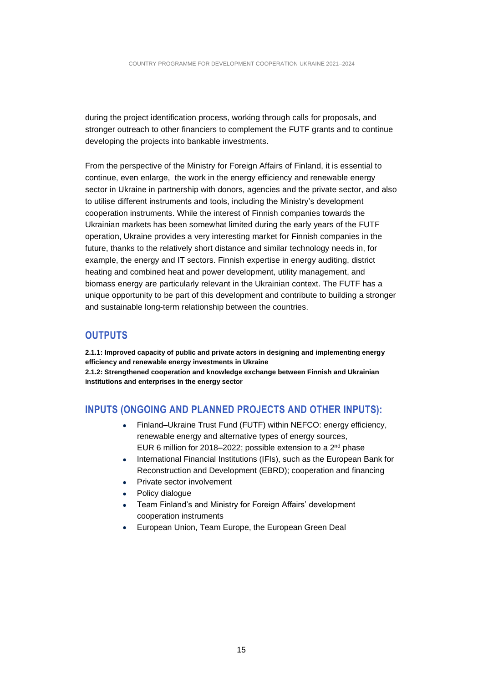during the project identification process, working through calls for proposals, and stronger outreach to other financiers to complement the FUTF grants and to continue developing the projects into bankable investments.

From the perspective of the Ministry for Foreign Affairs of Finland, it is essential to continue, even enlarge, the work in the energy efficiency and renewable energy sector in Ukraine in partnership with donors, agencies and the private sector, and also to utilise different instruments and tools, including the Ministry's development cooperation instruments. While the interest of Finnish companies towards the Ukrainian markets has been somewhat limited during the early years of the FUTF operation, Ukraine provides a very interesting market for Finnish companies in the future, thanks to the relatively short distance and similar technology needs in, for example, the energy and IT sectors. Finnish expertise in energy auditing, district heating and combined heat and power development, utility management, and biomass energy are particularly relevant in the Ukrainian context. The FUTF has a unique opportunity to be part of this development and contribute to building a stronger and sustainable long-term relationship between the countries.

#### <span id="page-14-0"></span>**OUTPUTS**

**2.1.1: Improved capacity of public and private actors in designing and implementing energy efficiency and renewable energy investments in Ukraine 2.1.2: Strengthened cooperation and knowledge exchange between Finnish and Ukrainian institutions and enterprises in the energy sector**

#### <span id="page-14-1"></span>**INPUTS (ONGOING AND PLANNED PROJECTS AND OTHER INPUTS):**

- Finland–Ukraine Trust Fund (FUTF) within NEFCO: energy efficiency, renewable energy and alternative types of energy sources, EUR 6 million for 2018–2022; possible extension to a  $2<sup>nd</sup>$  phase
- International Financial Institutions (IFIs), such as the European Bank for Reconstruction and Development (EBRD); cooperation and financing
- Private sector involvement
- Policy dialogue
- Team Finland's and Ministry for Foreign Affairs' development cooperation instruments
- European Union, Team Europe, the European Green Deal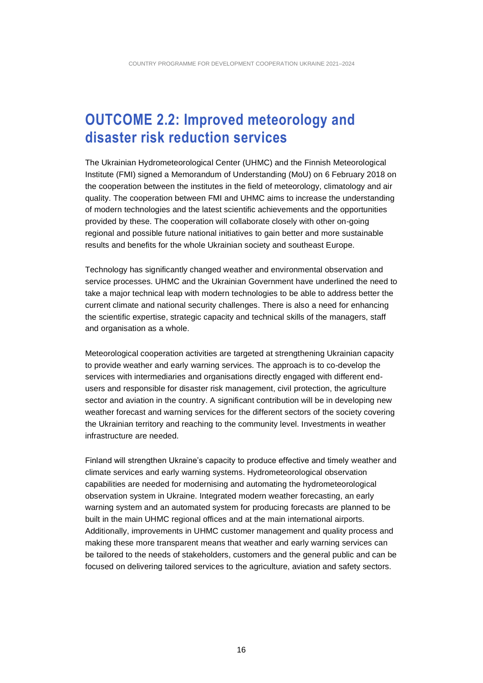### <span id="page-15-0"></span>**OUTCOME 2.2: Improved meteorology and disaster risk reduction services**

The Ukrainian Hydrometeorological Center (UHMC) and the Finnish Meteorological Institute (FMI) signed a Memorandum of Understanding (MoU) on 6 February 2018 on the cooperation between the institutes in the field of meteorology, climatology and air quality. The cooperation between FMI and UHMC aims to increase the understanding of modern technologies and the latest scientific achievements and the opportunities provided by these. The cooperation will collaborate closely with other on-going regional and possible future national initiatives to gain better and more sustainable results and benefits for the whole Ukrainian society and southeast Europe.

Technology has significantly changed weather and environmental observation and service processes. UHMC and the Ukrainian Government have underlined the need to take a major technical leap with modern technologies to be able to address better the current climate and national security challenges. There is also a need for enhancing the scientific expertise, strategic capacity and technical skills of the managers, staff and organisation as a whole.

Meteorological cooperation activities are targeted at strengthening Ukrainian capacity to provide weather and early warning services. The approach is to co-develop the services with intermediaries and organisations directly engaged with different endusers and responsible for disaster risk management, civil protection, the agriculture sector and aviation in the country. A significant contribution will be in developing new weather forecast and warning services for the different sectors of the society covering the Ukrainian territory and reaching to the community level. Investments in weather infrastructure are needed.

Finland will strengthen Ukraine's capacity to produce effective and timely weather and climate services and early warning systems. Hydrometeorological observation capabilities are needed for modernising and automating the hydrometeorological observation system in Ukraine. Integrated modern weather forecasting, an early warning system and an automated system for producing forecasts are planned to be built in the main UHMC regional offices and at the main international airports. Additionally, improvements in UHMC customer management and quality process and making these more transparent means that weather and early warning services can be tailored to the needs of stakeholders, customers and the general public and can be focused on delivering tailored services to the agriculture, aviation and safety sectors.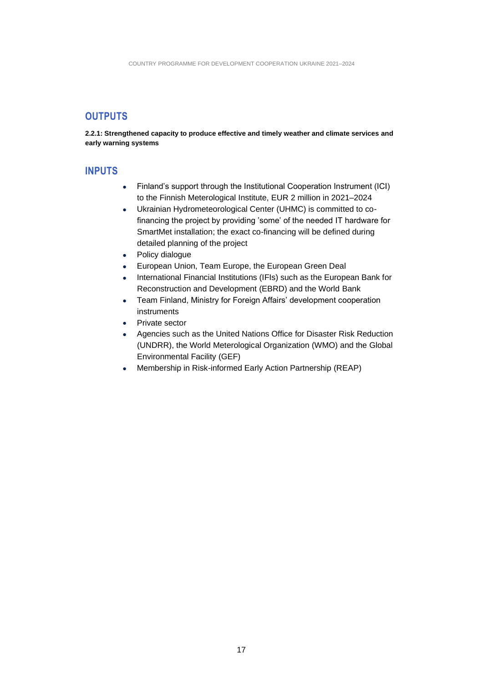#### <span id="page-16-0"></span>**OUTPUTS**

**2.2.1: Strengthened capacity to produce effective and timely weather and climate services and early warning systems**

#### <span id="page-16-1"></span>**INPUTS**

- Finland's support through the Institutional Cooperation Instrument (ICI) to the Finnish Meterological Institute, EUR 2 million in 2021–2024
- Ukrainian Hydrometeorological Center (UHMC) is committed to cofinancing the project by providing 'some' of the needed IT hardware for SmartMet installation; the exact co-financing will be defined during detailed planning of the project
- Policy dialogue
- European Union, Team Europe, the European Green Deal
- International Financial Institutions (IFIs) such as the European Bank for Reconstruction and Development (EBRD) and the World Bank
- Team Finland, Ministry for Foreign Affairs' development cooperation instruments
- Private sector
- Agencies such as the United Nations Office for Disaster Risk Reduction (UNDRR), the World Meterological Organization (WMO) and the Global Environmental Facility (GEF)
- Membership in Risk-informed Early Action Partnership (REAP)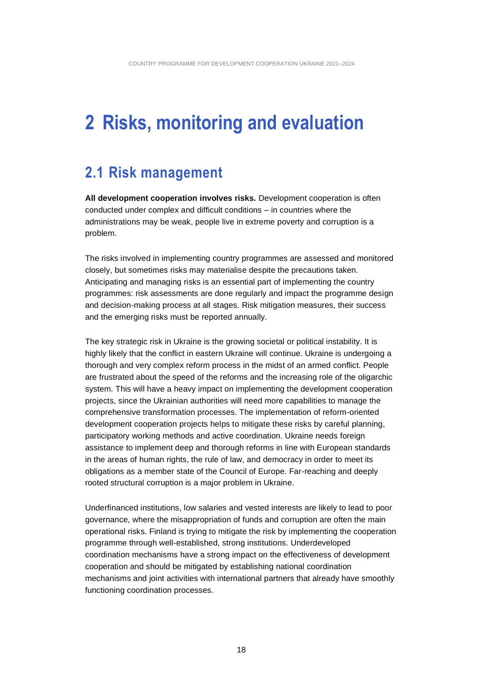## <span id="page-17-0"></span>**2 Risks, monitoring and evaluation**

### <span id="page-17-1"></span>**2.1 Risk management**

**All development cooperation involves risks.** Development cooperation is often conducted under complex and difficult conditions – in countries where the administrations may be weak, people live in extreme poverty and corruption is a problem.

The risks involved in implementing country programmes are assessed and monitored closely, but sometimes risks may materialise despite the precautions taken. Anticipating and managing risks is an essential part of implementing the country programmes: risk assessments are done regularly and impact the programme design and decision-making process at all stages. Risk mitigation measures, their success and the emerging risks must be reported annually.

The key strategic risk in Ukraine is the growing societal or political instability. It is highly likely that the conflict in eastern Ukraine will continue. Ukraine is undergoing a thorough and very complex reform process in the midst of an armed conflict. People are frustrated about the speed of the reforms and the increasing role of the oligarchic system. This will have a heavy impact on implementing the development cooperation projects, since the Ukrainian authorities will need more capabilities to manage the comprehensive transformation processes. The implementation of reform-oriented development cooperation projects helps to mitigate these risks by careful planning, participatory working methods and active coordination. Ukraine needs foreign assistance to implement deep and thorough reforms in line with European standards in the areas of human rights, the rule of law, and democracy in order to meet its obligations as a member state of the Council of Europe. Far-reaching and deeply rooted structural corruption is a major problem in Ukraine.

Underfinanced institutions, low salaries and vested interests are likely to lead to poor governance, where the misappropriation of funds and corruption are often the main operational risks. Finland is trying to mitigate the risk by implementing the cooperation programme through well-established, strong institutions. Underdeveloped coordination mechanisms have a strong impact on the effectiveness of development cooperation and should be mitigated by establishing national coordination mechanisms and joint activities with international partners that already have smoothly functioning coordination processes.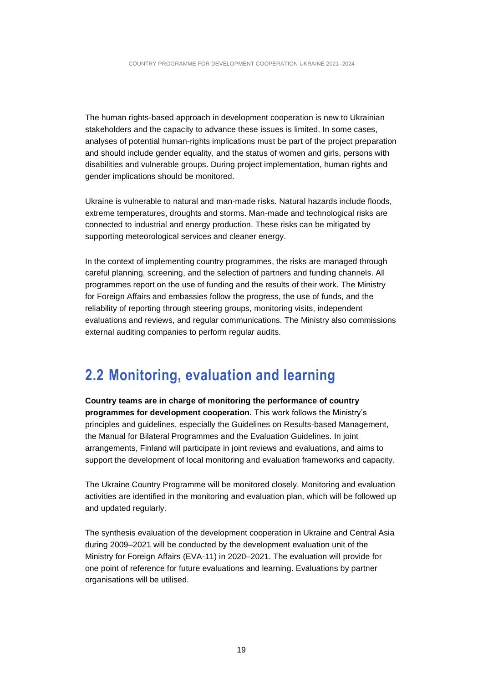The human rights-based approach in development cooperation is new to Ukrainian stakeholders and the capacity to advance these issues is limited. In some cases, analyses of potential human-rights implications must be part of the project preparation and should include gender equality, and the status of women and girls, persons with disabilities and vulnerable groups. During project implementation, human rights and gender implications should be monitored.

Ukraine is vulnerable to natural and man-made risks. Natural hazards include floods, extreme temperatures, droughts and storms. Man-made and technological risks are connected to industrial and energy production. These risks can be mitigated by supporting meteorological services and cleaner energy.

In the context of implementing country programmes, the risks are managed through careful planning, screening, and the selection of partners and funding channels. All programmes report on the use of funding and the results of their work. The Ministry for Foreign Affairs and embassies follow the progress, the use of funds, and the reliability of reporting through steering groups, monitoring visits, independent evaluations and reviews, and regular communications. The Ministry also commissions external auditing companies to perform regular audits.

### <span id="page-18-0"></span>**2.2 Monitoring, evaluation and learning**

**Country teams are in charge of monitoring the performance of country programmes for development cooperation.** This work follows the Ministry's principles and guidelines, especially the Guidelines on Results-based Management, the Manual for Bilateral Programmes and the Evaluation Guidelines. In joint arrangements, Finland will participate in joint reviews and evaluations, and aims to support the development of local monitoring and evaluation frameworks and capacity.

The Ukraine Country Programme will be monitored closely. Monitoring and evaluation activities are identified in the monitoring and evaluation plan, which will be followed up and updated regularly.

The synthesis evaluation of the development cooperation in Ukraine and Central Asia during 2009–2021 will be conducted by the development evaluation unit of the Ministry for Foreign Affairs (EVA-11) in 2020–2021. The evaluation will provide for one point of reference for future evaluations and learning. Evaluations by partner organisations will be utilised.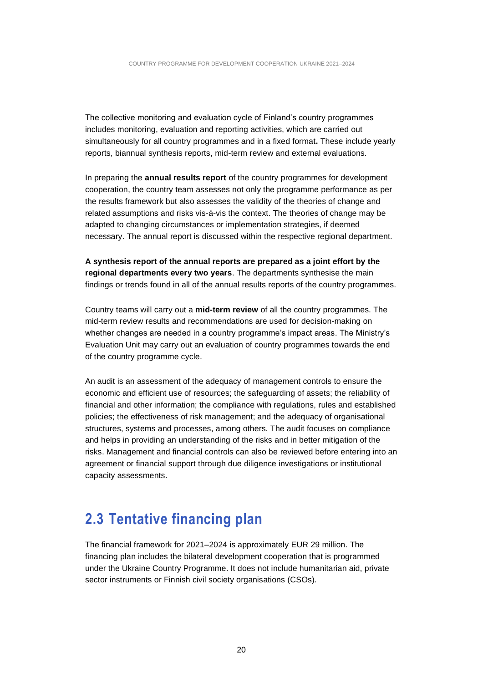The collective monitoring and evaluation cycle of Finland's country programmes includes monitoring, evaluation and reporting activities, which are carried out simultaneously for all country programmes and in a fixed format**.** These include yearly reports, biannual synthesis reports, mid-term review and external evaluations.

In preparing the **annual results report** of the country programmes for development cooperation, the country team assesses not only the programme performance as per the results framework but also assesses the validity of the theories of change and related assumptions and risks vis-á-vis the context. The theories of change may be adapted to changing circumstances or implementation strategies, if deemed necessary. The annual report is discussed within the respective regional department.

**A synthesis report of the annual reports are prepared as a joint effort by the regional departments every two years**. The departments synthesise the main findings or trends found in all of the annual results reports of the country programmes.

Country teams will carry out a **mid-term review** of all the country programmes. The mid-term review results and recommendations are used for decision-making on whether changes are needed in a country programme's impact areas. The Ministry's Evaluation Unit may carry out an evaluation of country programmes towards the end of the country programme cycle.

An audit is an assessment of the adequacy of management controls to ensure the economic and efficient use of resources; the safeguarding of assets; the reliability of financial and other information; the compliance with regulations, rules and established policies; the effectiveness of risk management; and the adequacy of organisational structures, systems and processes, among others. The audit focuses on compliance and helps in providing an understanding of the risks and in better mitigation of the risks. Management and financial controls can also be reviewed before entering into an agreement or financial support through due diligence investigations or institutional capacity assessments.

### <span id="page-19-0"></span>**2.3 Tentative financing plan**

The financial framework for 2021–2024 is approximately EUR 29 million. The financing plan includes the bilateral development cooperation that is programmed under the Ukraine Country Programme. It does not include humanitarian aid, private sector instruments or Finnish civil society organisations (CSOs).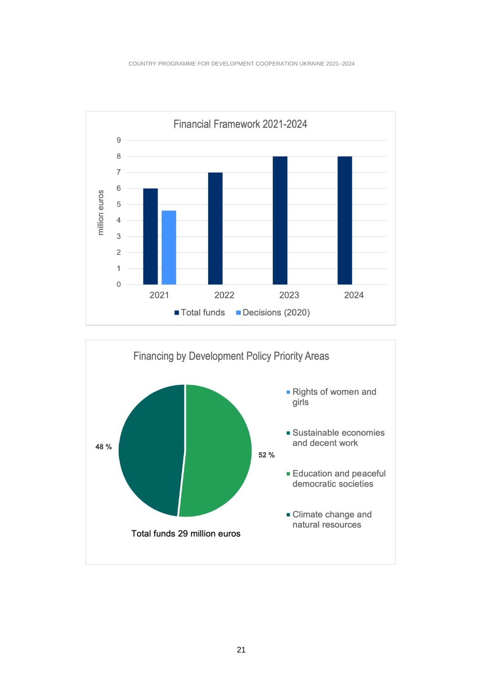